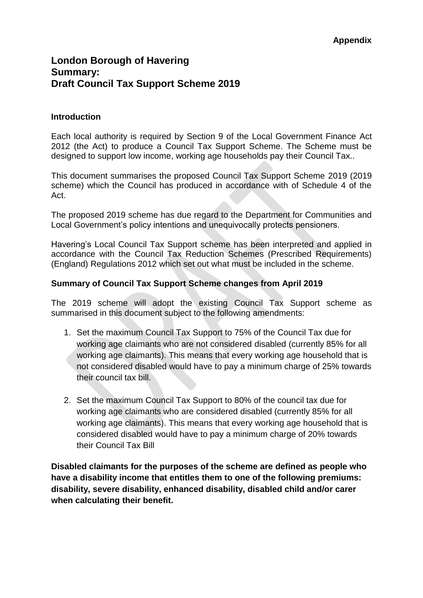# **London Borough of Havering Summary: Draft Council Tax Support Scheme 2019**

#### **Introduction**

Each local authority is required by Section 9 of the Local Government Finance Act 2012 (the Act) to produce a Council Tax Support Scheme. The Scheme must be designed to support low income, working age households pay their Council Tax..

This document summarises the proposed Council Tax Support Scheme 2019 (2019 scheme) which the Council has produced in accordance with of Schedule 4 of the Act.

The proposed 2019 scheme has due regard to the Department for Communities and Local Government's policy intentions and unequivocally protects pensioners.

Havering's Local Council Tax Support scheme has been interpreted and applied in accordance with the Council Tax Reduction Schemes (Prescribed Requirements) (England) Regulations 2012 which set out what must be included in the scheme.

#### **Summary of Council Tax Support Scheme changes from April 2019**

The 2019 scheme will adopt the existing Council Tax Support scheme as summarised in this document subject to the following amendments:

- 1. Set the maximum Council Tax Support to 75% of the Council Tax due for working age claimants who are not considered disabled (currently 85% for all working age claimants). This means that every working age household that is not considered disabled would have to pay a minimum charge of 25% towards their council tax bill.
- 2. Set the maximum Council Tax Support to 80% of the council tax due for working age claimants who are considered disabled (currently 85% for all working age claimants). This means that every working age household that is considered disabled would have to pay a minimum charge of 20% towards their Council Tax Bill

**Disabled claimants for the purposes of the scheme are defined as people who have a disability income that entitles them to one of the following premiums: disability, severe disability, enhanced disability, disabled child and/or carer when calculating their benefit.**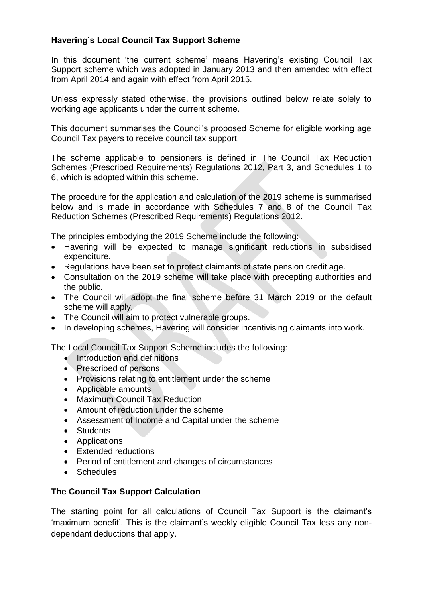## **Havering's Local Council Tax Support Scheme**

In this document 'the current scheme' means Havering's existing Council Tax Support scheme which was adopted in January 2013 and then amended with effect from April 2014 and again with effect from April 2015.

Unless expressly stated otherwise, the provisions outlined below relate solely to working age applicants under the current scheme.

This document summarises the Council's proposed Scheme for eligible working age Council Tax payers to receive council tax support.

The scheme applicable to pensioners is defined in The Council Tax Reduction Schemes (Prescribed Requirements) Regulations 2012, Part 3, and Schedules 1 to 6, which is adopted within this scheme.

The procedure for the application and calculation of the 2019 scheme is summarised below and is made in accordance with Schedules 7 and 8 of the Council Tax Reduction Schemes (Prescribed Requirements) Regulations 2012.

The principles embodying the 2019 Scheme include the following:

- Havering will be expected to manage significant reductions in subsidised expenditure.
- Regulations have been set to protect claimants of state pension credit age.
- Consultation on the 2019 scheme will take place with precepting authorities and the public.
- The Council will adopt the final scheme before 31 March 2019 or the default scheme will apply.
- The Council will aim to protect vulnerable groups.
- In developing schemes, Havering will consider incentivising claimants into work.

The Local Council Tax Support Scheme includes the following:

- Introduction and definitions
- Prescribed of persons
- Provisions relating to entitlement under the scheme
- Applicable amounts
- Maximum Council Tax Reduction
- Amount of reduction under the scheme
- Assessment of Income and Capital under the scheme
- Students
- Applications
- Extended reductions
- Period of entitlement and changes of circumstances
- Schedules

## **The Council Tax Support Calculation**

The starting point for all calculations of Council Tax Support is the claimant's 'maximum benefit'. This is the claimant's weekly eligible Council Tax less any nondependant deductions that apply.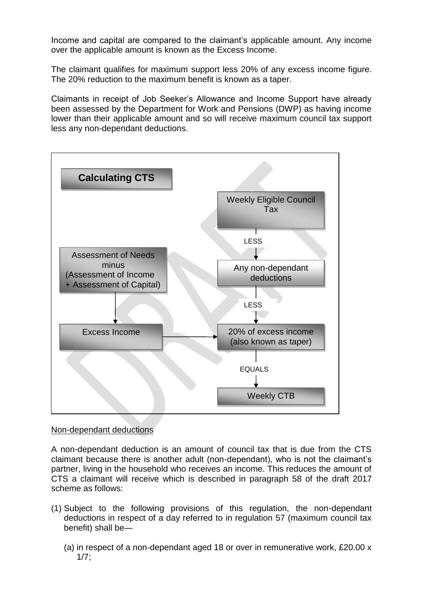Income and capital are compared to the claimant's applicable amount. Any income over the applicable amount is known as the Excess Income.

The claimant qualifies for maximum support less 20% of any excess income figure. The 20% reduction to the maximum benefit is known as a taper.

Claimants in receipt of Job Seeker's Allowance and Income Support have already been assessed by the Department for Work and Pensions (DWP) as having income lower than their applicable amount and so will receive maximum council tax support less any non-dependant deductions.



### Non-dependant deductions

A non-dependant deduction is an amount of council tax that is due from the CTS claimant because there is another adult (non-dependant), who is not the claimant's partner, living in the household who receives an income. This reduces the amount of CTS a claimant will receive which is described in paragraph 58 of the draft 2017 scheme as follows:

- (1) Subject to the following provisions of this regulation, the non-dependant deductions in respect of a day referred to in regulation 57 (maximum council tax benefit) shall be—
	- (a) in respect of a non-dependant aged 18 or over in remunerative work, £20.00 x  $1/7$ ;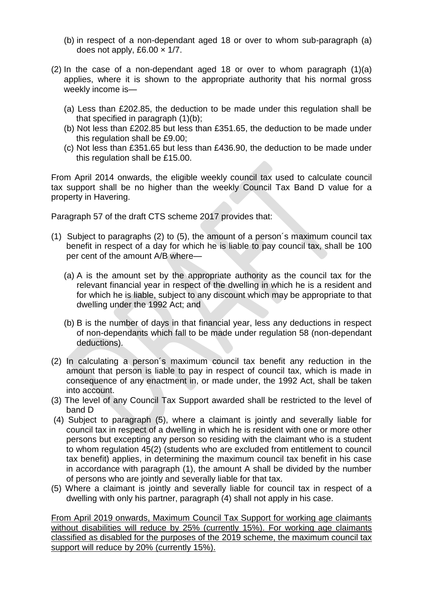- (b) in respect of a non-dependant aged 18 or over to whom sub-paragraph (a) does not apply, £6.00  $\times$  1/7.
- (2) In the case of a non-dependant aged 18 or over to whom paragraph (1)(a) applies, where it is shown to the appropriate authority that his normal gross weekly income is—
	- (a) Less than £202.85, the deduction to be made under this regulation shall be that specified in paragraph (1)(b);
	- (b) Not less than £202.85 but less than £351.65, the deduction to be made under this regulation shall be £9.00;
	- (c) Not less than £351.65 but less than £436.90, the deduction to be made under this regulation shall be £15.00.

From April 2014 onwards, the eligible weekly council tax used to calculate council tax support shall be no higher than the weekly Council Tax Band D value for a property in Havering.

Paragraph 57 of the draft CTS scheme 2017 provides that:

- (1) Subject to paragraphs (2) to (5), the amount of a person´s maximum council tax benefit in respect of a day for which he is liable to pay council tax, shall be 100 per cent of the amount A/B where—
	- (a) A is the amount set by the appropriate authority as the council tax for the relevant financial year in respect of the dwelling in which he is a resident and for which he is liable, subject to any discount which may be appropriate to that dwelling under the 1992 Act; and
	- (b) B is the number of days in that financial year, less any deductions in respect of non-dependants which fall to be made under regulation 58 (non-dependant deductions).
- (2) In calculating a person´s maximum council tax benefit any reduction in the amount that person is liable to pay in respect of council tax, which is made in consequence of any enactment in, or made under, the 1992 Act, shall be taken into account.
- (3) The level of any Council Tax Support awarded shall be restricted to the level of band D
- (4) Subject to paragraph (5), where a claimant is jointly and severally liable for council tax in respect of a dwelling in which he is resident with one or more other persons but excepting any person so residing with the claimant who is a student to whom regulation 45(2) (students who are excluded from entitlement to council tax benefit) applies, in determining the maximum council tax benefit in his case in accordance with paragraph (1), the amount A shall be divided by the number of persons who are jointly and severally liable for that tax.
- (5) Where a claimant is jointly and severally liable for council tax in respect of a dwelling with only his partner, paragraph (4) shall not apply in his case.

From April 2019 onwards, Maximum Council Tax Support for working age claimants without disabilities will reduce by 25% (currently 15%). For working age claimants classified as disabled for the purposes of the 2019 scheme, the maximum council tax support will reduce by 20% (currently 15%).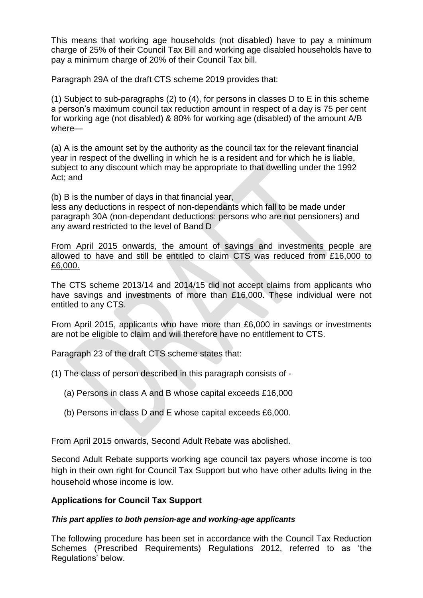This means that working age households (not disabled) have to pay a minimum charge of 25% of their Council Tax Bill and working age disabled households have to pay a minimum charge of 20% of their Council Tax bill.

Paragraph 29A of the draft CTS scheme 2019 provides that:

(1) Subject to sub-paragraphs (2) to (4), for persons in classes D to E in this scheme a person's maximum council tax reduction amount in respect of a day is 75 per cent for working age (not disabled) & 80% for working age (disabled) of the amount A/B where—

(a) A is the amount set by the authority as the council tax for the relevant financial year in respect of the dwelling in which he is a resident and for which he is liable, subject to any discount which may be appropriate to that dwelling under the 1992 Act; and

(b) B is the number of days in that financial year,

less any deductions in respect of non-dependants which fall to be made under paragraph 30A (non-dependant deductions: persons who are not pensioners) and any award restricted to the level of Band D

From April 2015 onwards, the amount of savings and investments people are allowed to have and still be entitled to claim CTS was reduced from £16,000 to £6,000.

The CTS scheme 2013/14 and 2014/15 did not accept claims from applicants who have savings and investments of more than £16,000. These individual were not entitled to any CTS.

From April 2015, applicants who have more than £6,000 in savings or investments are not be eligible to claim and will therefore have no entitlement to CTS.

Paragraph 23 of the draft CTS scheme states that:

- (1) The class of person described in this paragraph consists of
	- (a) Persons in class A and B whose capital exceeds £16,000
	- (b) Persons in class D and E whose capital exceeds £6,000.

### From April 2015 onwards, Second Adult Rebate was abolished.

Second Adult Rebate supports working age council tax payers whose income is too high in their own right for Council Tax Support but who have other adults living in the household whose income is low.

### **Applications for Council Tax Support**

### *This part applies to both pension-age and working-age applicants*

The following procedure has been set in accordance with the Council Tax Reduction Schemes (Prescribed Requirements) Regulations 2012, referred to as 'the Regulations' below.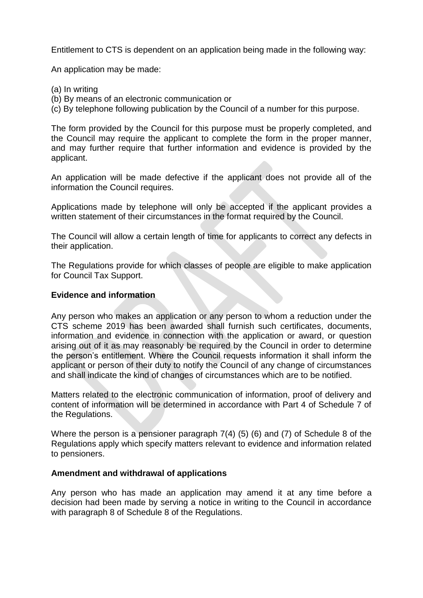Entitlement to CTS is dependent on an application being made in the following way:

An application may be made:

- (a) In writing
- (b) By means of an electronic communication or
- (c) By telephone following publication by the Council of a number for this purpose.

The form provided by the Council for this purpose must be properly completed, and the Council may require the applicant to complete the form in the proper manner, and may further require that further information and evidence is provided by the applicant.

An application will be made defective if the applicant does not provide all of the information the Council requires.

Applications made by telephone will only be accepted if the applicant provides a written statement of their circumstances in the format required by the Council.

The Council will allow a certain length of time for applicants to correct any defects in their application.

The Regulations provide for which classes of people are eligible to make application for Council Tax Support.

### **Evidence and information**

Any person who makes an application or any person to whom a reduction under the CTS scheme 2019 has been awarded shall furnish such certificates, documents, information and evidence in connection with the application or award, or question arising out of it as may reasonably be required by the Council in order to determine the person's entitlement. Where the Council requests information it shall inform the applicant or person of their duty to notify the Council of any change of circumstances and shall indicate the kind of changes of circumstances which are to be notified.

Matters related to the electronic communication of information, proof of delivery and content of information will be determined in accordance with Part 4 of Schedule 7 of the Regulations.

Where the person is a pensioner paragraph 7(4) (5) (6) and (7) of Schedule 8 of the Regulations apply which specify matters relevant to evidence and information related to pensioners.

### **Amendment and withdrawal of applications**

Any person who has made an application may amend it at any time before a decision had been made by serving a notice in writing to the Council in accordance with paragraph 8 of Schedule 8 of the Regulations.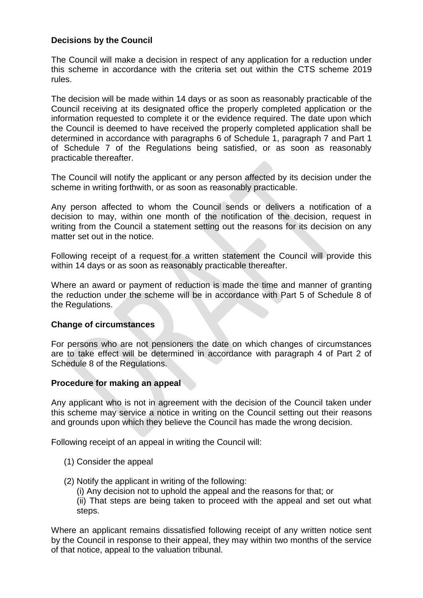### **Decisions by the Council**

The Council will make a decision in respect of any application for a reduction under this scheme in accordance with the criteria set out within the CTS scheme 2019 rules.

The decision will be made within 14 days or as soon as reasonably practicable of the Council receiving at its designated office the properly completed application or the information requested to complete it or the evidence required. The date upon which the Council is deemed to have received the properly completed application shall be determined in accordance with paragraphs 6 of Schedule 1, paragraph 7 and Part 1 of Schedule 7 of the Regulations being satisfied, or as soon as reasonably practicable thereafter.

The Council will notify the applicant or any person affected by its decision under the scheme in writing forthwith, or as soon as reasonably practicable.

Any person affected to whom the Council sends or delivers a notification of a decision to may, within one month of the notification of the decision, request in writing from the Council a statement setting out the reasons for its decision on any matter set out in the notice.

Following receipt of a request for a written statement the Council will provide this within 14 days or as soon as reasonably practicable thereafter.

Where an award or payment of reduction is made the time and manner of granting the reduction under the scheme will be in accordance with Part 5 of Schedule 8 of the Regulations.

### **Change of circumstances**

For persons who are not pensioners the date on which changes of circumstances are to take effect will be determined in accordance with paragraph 4 of Part 2 of Schedule 8 of the Regulations.

### **Procedure for making an appeal**

Any applicant who is not in agreement with the decision of the Council taken under this scheme may service a notice in writing on the Council setting out their reasons and grounds upon which they believe the Council has made the wrong decision.

Following receipt of an appeal in writing the Council will:

- (1) Consider the appeal
- (2) Notify the applicant in writing of the following:
	- (i) Any decision not to uphold the appeal and the reasons for that; or (ii) That steps are being taken to proceed with the appeal and set out what steps.

Where an applicant remains dissatisfied following receipt of any written notice sent by the Council in response to their appeal, they may within two months of the service of that notice, appeal to the valuation tribunal.